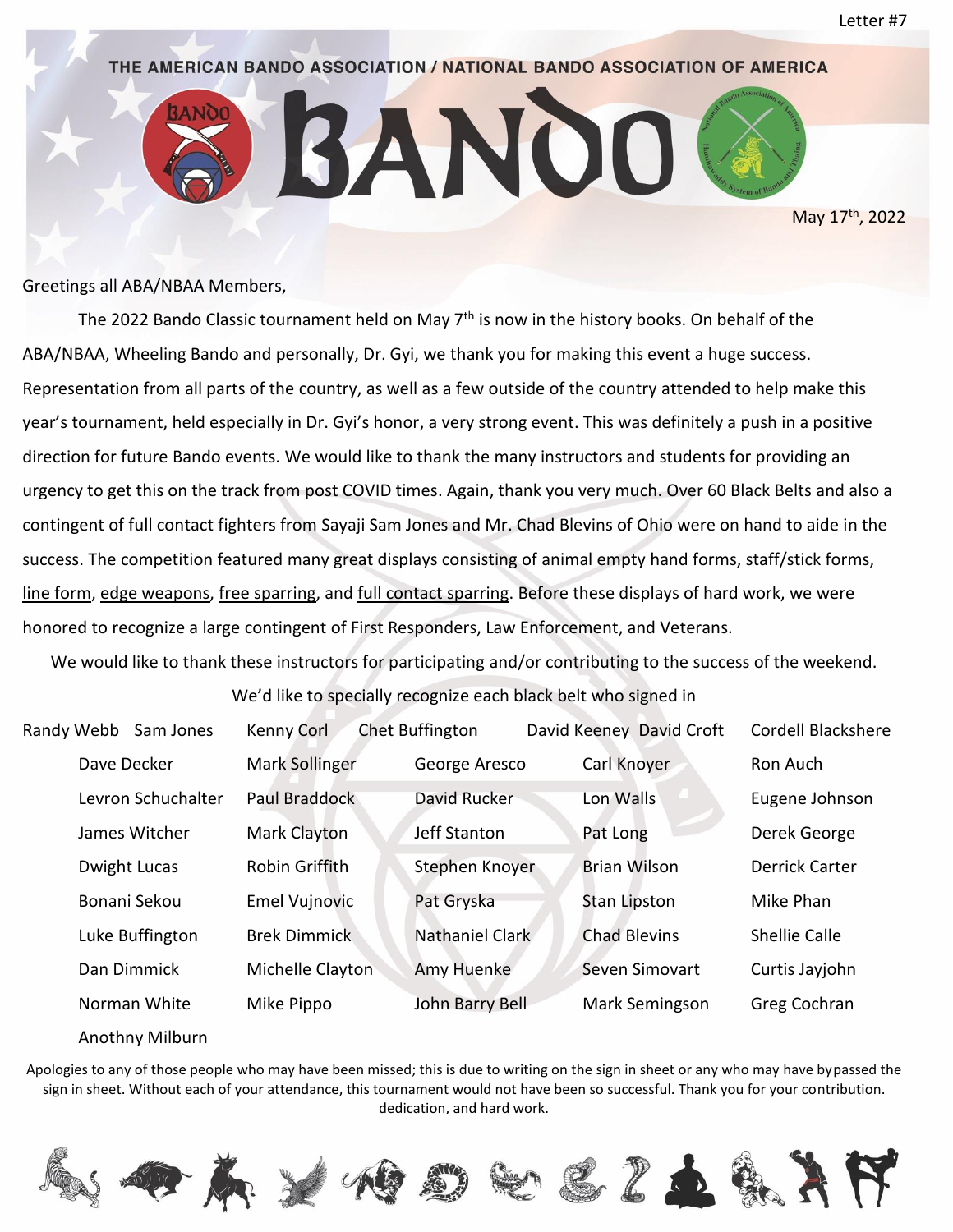

May 17<sup>th</sup>, 2022

# THE AMERICAN BANDO ASSOCIATION / NATIONAL BANDO ASSOCIATION OF AMERICA

ANO

Greetings all ABA/NBAA Members,

The 2022 Bando Classic tournament held on May 7<sup>th</sup> is now in the history books. On behalf of the ABA/NBAA, Wheeling Bando and personally, Dr. Gyi, we thank you for making this event a huge success. Representation from all parts of the country, as well as a few outside of the country attended to help make this year's tournament, held especially in Dr. Gyi's honor, a very strong event. This was definitely a push in a positive direction for future Bando events. We would like to thank the many instructors and students for providing an urgency to get this on the track from post COVID times. Again, thank you very much. Over 60 Black Belts and also a contingent of full contact fighters from Sayaji Sam Jones and Mr. Chad Blevins of Ohio were on hand to aide in the success. The competition featured many great displays consisting of animal empty hand forms, staff/stick forms, line form, edge weapons, free sparring, and full contact sparring. Before these displays of hard work, we were honored to recognize a large contingent of First Responders, Law Enforcement, and Veterans.

We would like to thank these instructors for participating and/or contributing to the success of the weekend.

We'd like to specially recognize each black belt who signed in

| Randy Webb      | Sam Jones          | Kenny Corl            | <b>Chet Buffington</b> | David Keeney David Croft | Cordell Blackshere   |
|-----------------|--------------------|-----------------------|------------------------|--------------------------|----------------------|
| Dave Decker     |                    | <b>Mark Sollinger</b> | George Aresco          | Carl Knoyer              | Ron Auch             |
|                 | Levron Schuchalter | Paul Braddock         | David Rucker           | Lon Walls                | Eugene Johnson       |
| James Witcher   |                    | Mark Clayton          | Jeff Stanton           | Pat Long                 | Derek George         |
| Dwight Lucas    |                    | Robin Griffith        | Stephen Knoyer         | <b>Brian Wilson</b>      | Derrick Carter       |
| Bonani Sekou    |                    | <b>Emel Vujnovic</b>  | Pat Gryska             | <b>Stan Lipston</b>      | Mike Phan            |
| Luke Buffington |                    | <b>Brek Dimmick</b>   | Nathaniel Clark        | <b>Chad Blevins</b>      | <b>Shellie Calle</b> |
| Dan Dimmick     |                    | Michelle Clayton      | Amy Huenke             | Seven Simovart           | Curtis Jayjohn       |
| Norman White    |                    | Mike Pippo            | John Barry Bell        | Mark Semingson           | Greg Cochran         |

#### Anothny Milburn

Apologies to any of those people who may have been missed; this is due to writing on the sign in sheet or any who may have bypassed the sign in sheet. Without each of your attendance, this tournament would not have been so successful. Thank you for your contribution. dedication, and hard work.

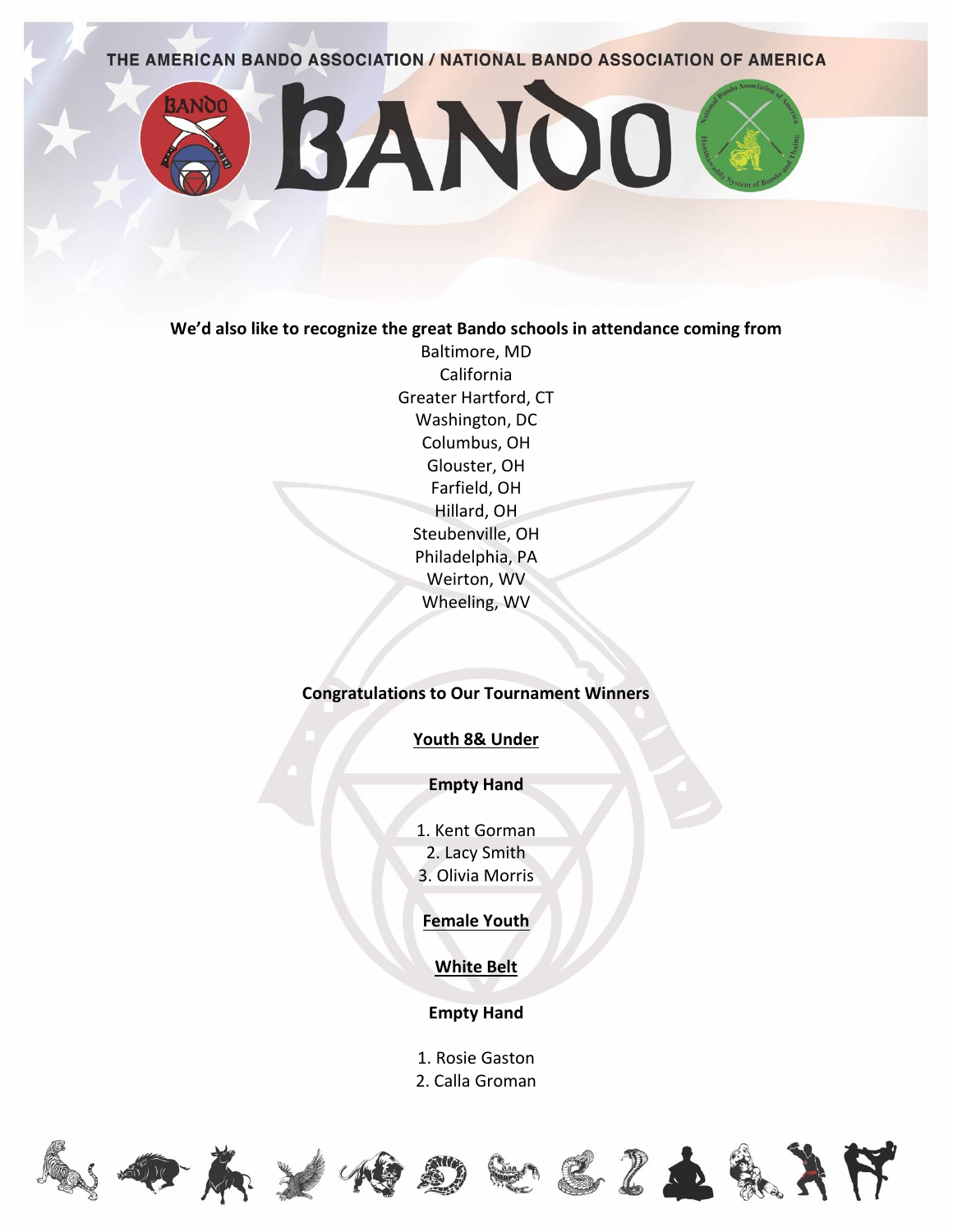

#### **We'd also like to recognize the great Bando schools in attendance coming from**

Baltimore, MD California Greater Hartford, CT Washington, DC Columbus, OH Glouster, OH Farfield, OH Hillard, OH Steubenville, OH Philadelphia, PA Weirton, WV Wheeling, WV

## **Congratulations to Our Tournament Winners**

## **Youth 8& Under**

### **Empty Hand**

1. Kent Gorman 2. Lacy Smith 3. Olivia Morris

**Female Youth**

**White Belt**

**Empty Hand**

1. Rosie Gaston

2. Calla Groman











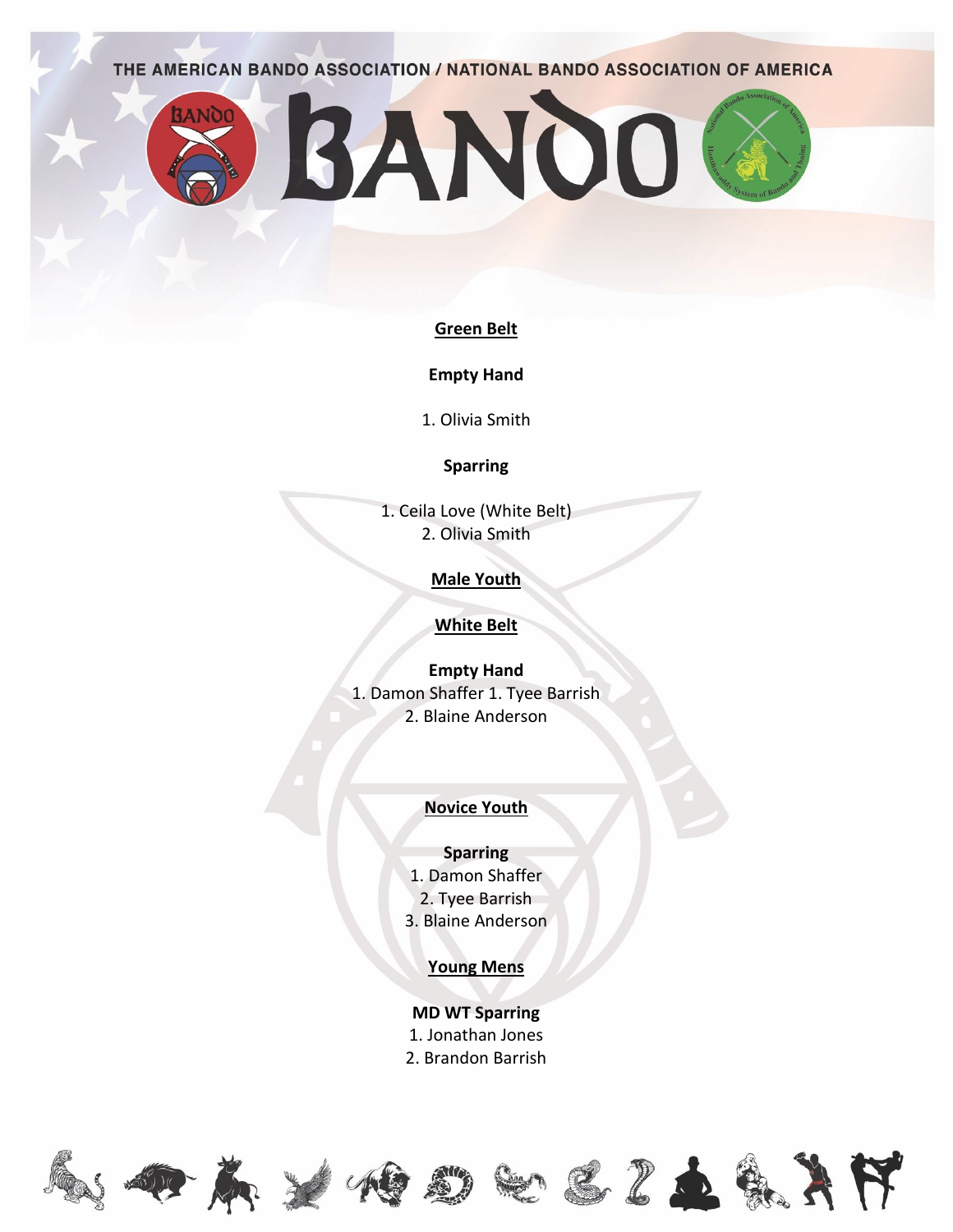BANDO

## **Green Belt**

**Empty Hand**

1. Olivia Smith

## **Sparring**

1. Ceila Love (White Belt) 2. Olivia Smith

## **Male Youth**

# **White Belt**

**Empty Hand** 1. Damon Shaffer 1. Tyee Barrish 2. Blaine Anderson

# **Novice Youth**

# **Sparring**

- 1. Damon Shaffer
- 2. Tyee Barrish
- 3. Blaine Anderson

# **Young Mens**

**MD WT Sparring** 1. Jonathan Jones 2. Brandon Barrish





**3ANOO** 









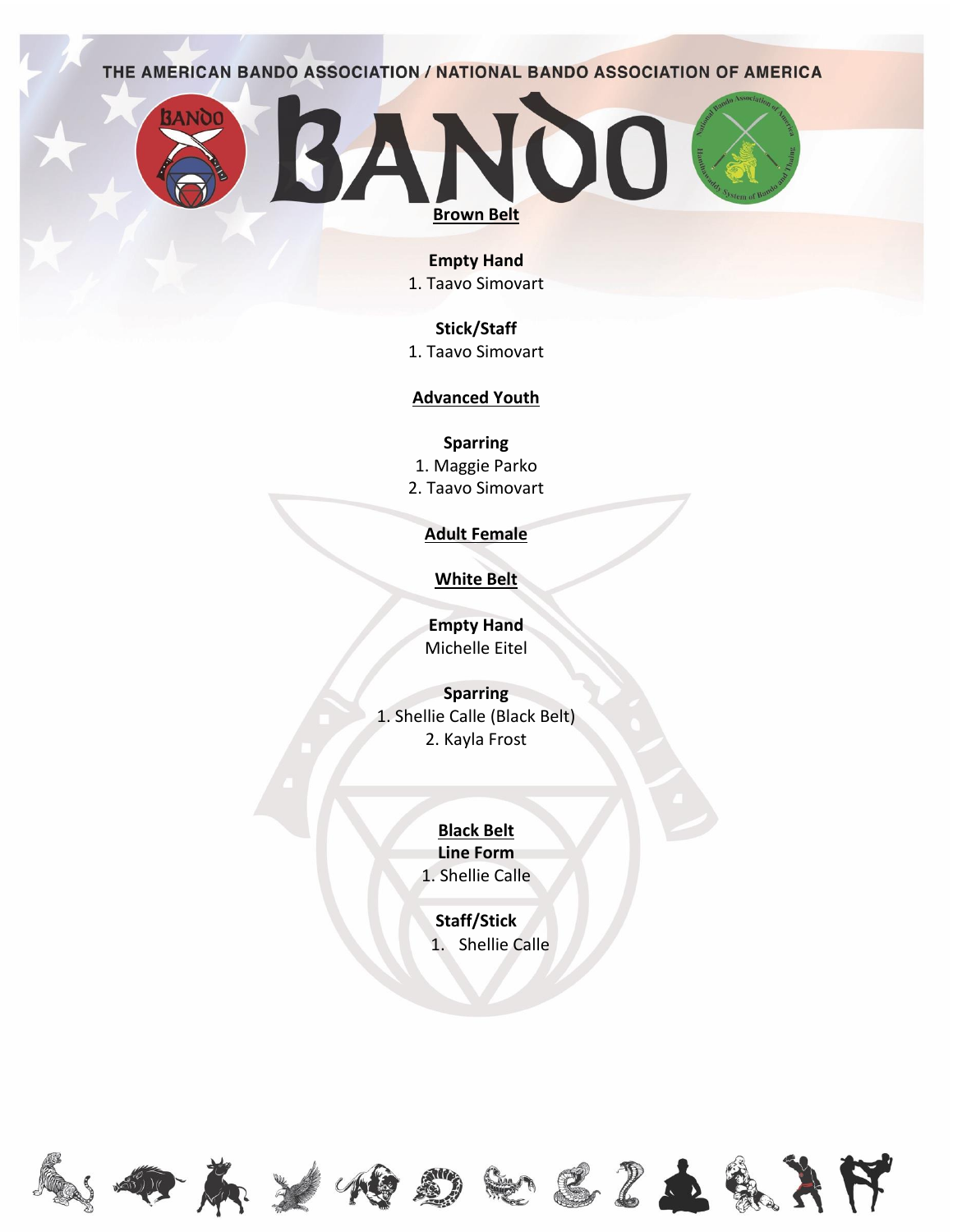

# **Empty Hand**

1. Taavo Simovart

# **Stick/Staff**

1. Taavo Simovart

# **Advanced Youth**

**Sparring**

1. Maggie Parko 2. Taavo Simovart

# **Adult Female**

# **White Belt**

**Empty Hand** Michelle Eitel

**Sparring** 1. Shellie Calle (Black Belt) 2. Kayla Frost

# **Black Belt Line Form** 1. Shellie Calle

**Staff/Stick** 1. Shellie Calle















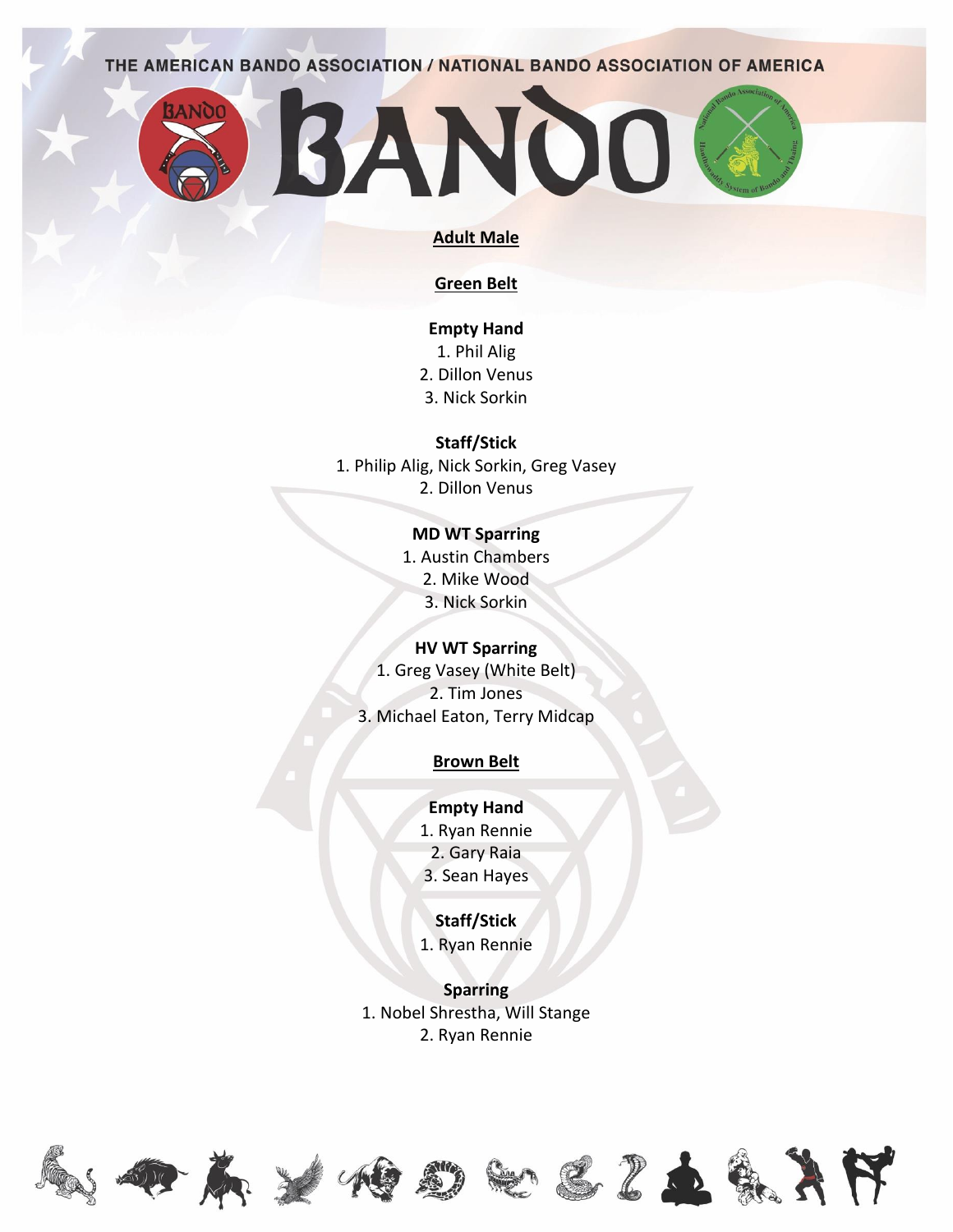

#### **Adult Male**

#### **Green Belt**

**Empty Hand** 1. Phil Alig 2. Dillon Venus 3. Nick Sorkin

**Staff/Stick**

1. Philip Alig, Nick Sorkin, Greg Vasey

2. Dillon Venus

# **MD WT Sparring**

1. Austin Chambers 2. Mike Wood 3. Nick Sorkin

#### **HV WT Sparring**

1. Greg Vasey (White Belt) 2. Tim Jones 3. Michael Eaton, Terry Midcap

## **Brown Belt**

**Empty Hand**

1. Ryan Rennie 2. Gary Raia

3. Sean Hayes

## **Staff/Stick**

1. Ryan Rennie

**Sparring** 1. Nobel Shrestha, Will Stange 2. Ryan Rennie











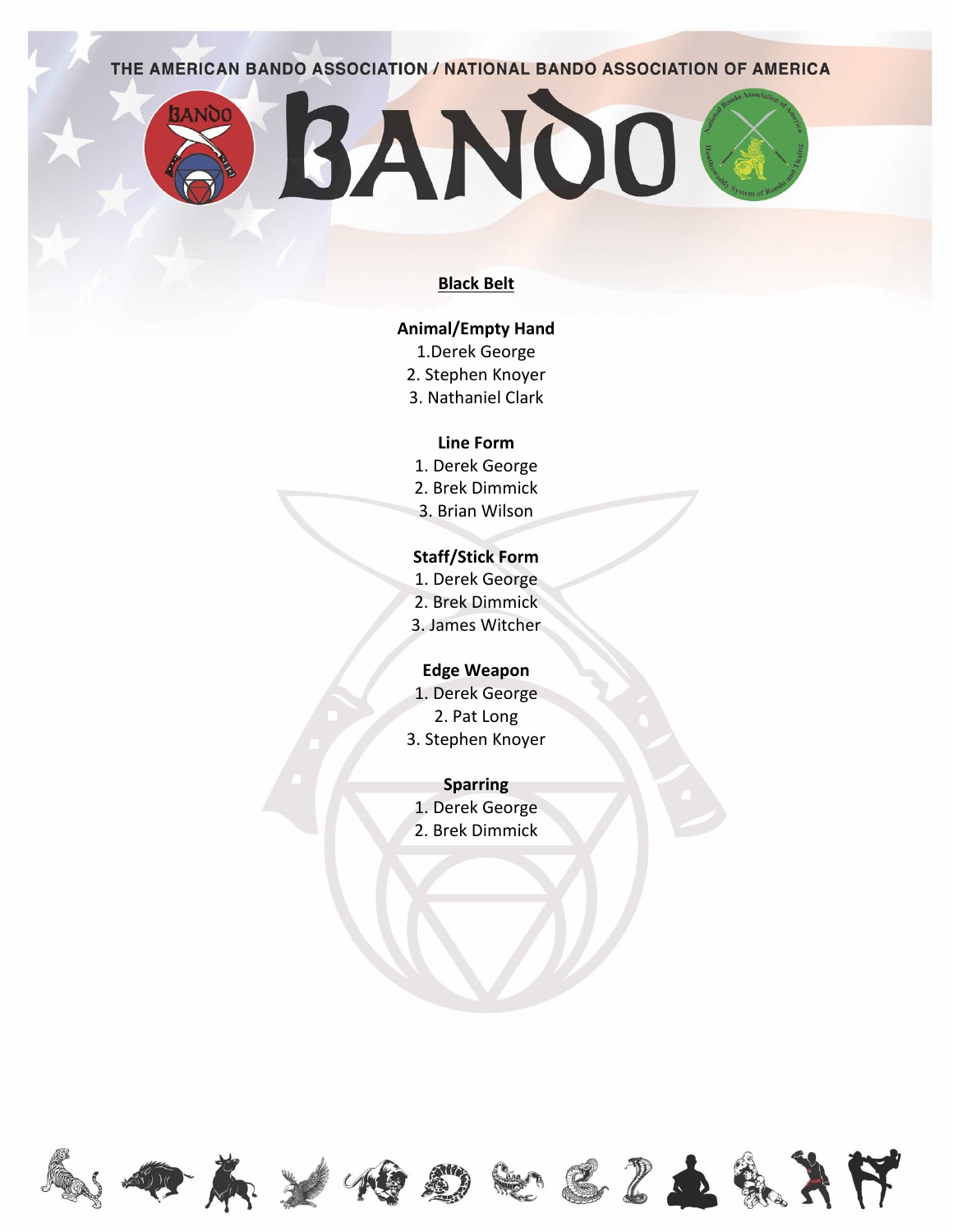BANDO

**3ANOO** 

#### **Black Belt**

## **Animal/Empty Hand**

- 1.Derek George
- 2. Stephen Knoyer
- 3. Nathaniel Clark

#### **Line Form**

- 1. Derek George
- 2. Brek Dimmick
- 3. Brian Wilson

# **Staff/Stick Form**

- 1. Derek George
- 2. Brek Dimmick
- 3. James Witcher

## **Edge Weapon**

- 1. Derek George
- 2. Pat Long
- 3. Stephen Knoyer

#### **Sparring**

- 1. Derek George
- 2. Brek Dimmick

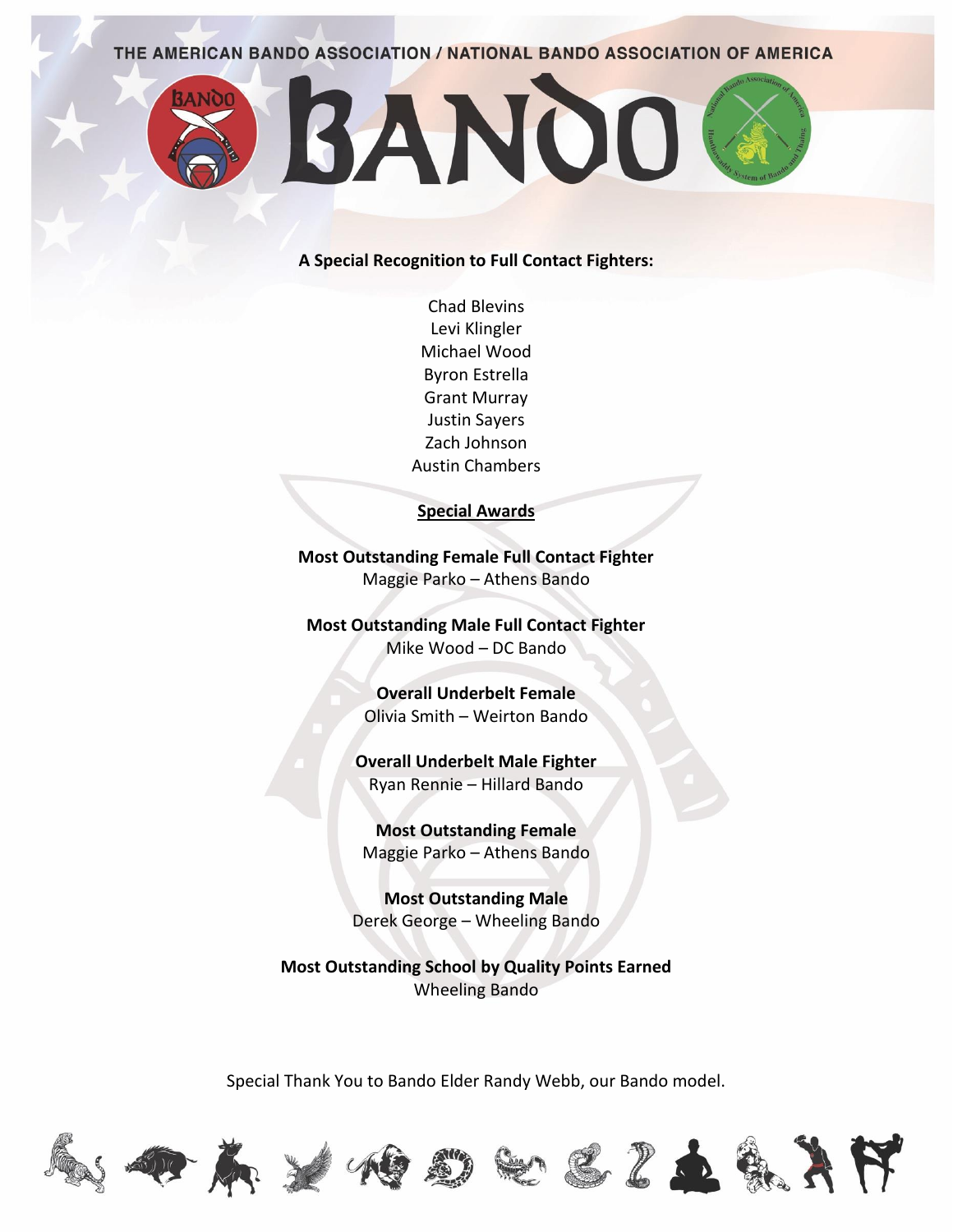

## **A Special Recognition to Full Contact Fighters:**

Chad Blevins Levi Klingler Michael Wood Byron Estrella Grant Murray Justin Sayers Zach Johnson Austin Chambers

### **Special Awards**

**Most Outstanding Female Full Contact Fighter** Maggie Parko – Athens Bando

**Most Outstanding Male Full Contact Fighter** Mike Wood – DC Bando

> **Overall Underbelt Female** Olivia Smith – Weirton Bando

**Overall Underbelt Male Fighter** Ryan Rennie – Hillard Bando

**Most Outstanding Female** Maggie Parko – Athens Bando

**Most Outstanding Male** Derek George – Wheeling Bando

**Most Outstanding School by Quality Points Earned** Wheeling Bando

Special Thank You to Bando Elder Randy Webb, our Bando model.